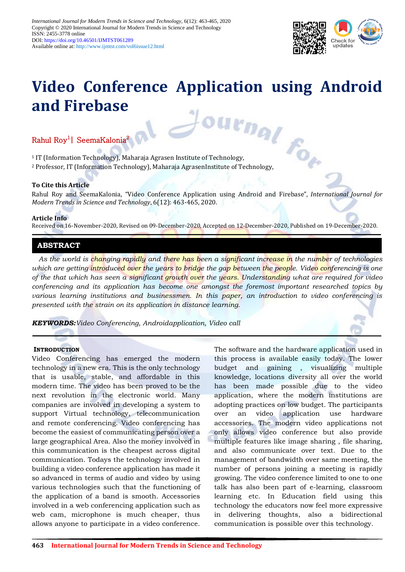

# **Video Conference Application using Android and Firebase** 1 IT (Information Technology), Maharaja Agrasen Institute of Technology,

# Rahul Roy<sup>1</sup> SeemaKalonia<sup>2</sup>

<sup>2</sup> Professor, IT (Information Technology), Maharaja AgrasenInstitute of Technology,

# **To Cite this Article**

Rahul Roy and SeemaKalonia, "Video Conference Application using Android and Firebase"*, International Journal for Modern Trends in Science and Technology*, 6(12): 463-465, 2020.

#### **Article Info**

Received on 16-November-2020, Revised on 09-December-2020, Accepted on 12-December-2020, Published on 19-December-2020.

# **ABSTRACT**

*As the world is changing rapidly and there has been a significant increase in the number of technologies*  which are getting introduced over the years to bridge the gap between the people. Video conferencing is one *of the that which has seen a significant growth over the years. Understanding what are required for video conferencing and its application has become one amongst the foremost important researched topics by various learning institutions and businessmen. In this paper, an introduction to video conferencing is presented with the strain on its application in distance learning.*

*KEYWORDS:Video Conferencing, Androidapplication, Video call*

## **INTRODUCTION**

Video Conferencing has emerged the modern technology in a new era. This is the only technology that is usable, stable, and affordable in this modern time. The video has been proved to be the next revolution in the electronic world. Many companies are involved in developing a system to support Virtual technology, telecommunication and remote conferencing. Video conferencing has become the easiest of communicating person over a large geographical Area. Also the money involved in this communication is the cheapest across digital communication. Todays the technology involved in building a video conference application has made it so advanced in terms of audio and video by using various technologies such that the functioning of the application of a band is smooth. Accessories involved in a web conferencing application such as web cam, microphone is much cheaper, thus allows anyone to participate in a video conference.

The software and the hardware application used in this process is available easily today. The lower budget and gaining , visualizing multiple knowledge, locations diversity all over the world has been made possible due to the video application, where the modern institutions are adopting practices on low budget. The participants over an video application use hardware accessories. The modern video applications not only allows video conference but also provide multiple features like image sharing , file sharing, and also communicate over text. Due to the management of bandwidth over same meeting, the number of persons joining a meeting is rapidly growing. The video conference limited to one to one talk has also been part of e-learning, classroom learning etc. In Education field using this technology the educators now feel more expressive in delivering thoughts, also a bidirectional communication is possible over this technology.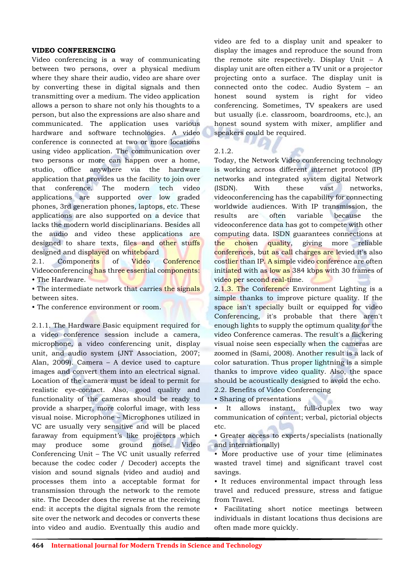#### **VIDEO CONFERENCING**

Video conferencing is a way of communicating between two persons, over a physical medium where they share their audio, video are share over by converting these in digital signals and then transmitting over a medium. The video application allows a person to share not only his thoughts to a person, but also the expressions are also share and communicated. The application uses various hardware and software technologies. A video conference is connected at two or more locations using video application. The communication over two persons or more can happen over a home, studio, office anywhere via the hardware application that provides us the facility to join over that conference. The modern tech video applications are supported over low graded phones, 3rd generation phones, laptops, etc. These applications are also supported on a device that lacks the modern world disciplinarians. Besides all the audio and video these applications are designed to share texts, files and other stuffs designed and displayed on whiteboard

2.1. Components of Video Conference Videoconferencing has three essential components: • The Hardware.

• The intermediate network that carries the signals between sites.

• The conference environment or room.

2.1.1. The Hardware Basic equipment required for a video conference session include a camera, microphone, a video conferencing unit, display unit, and audio system (JNT Association, 2007; Alan, 2009). Camera – A device used to capture images and convert them into an electrical signal. Location of the camera must be ideal to permit for realistic eye-contact. Also, good quality and functionality of the cameras should be ready to provide a sharper, more colorful image, with less visual noise. Microphone – Microphones utilized in VC are usually very sensitive and will be placed faraway from equipment's like projectors which may produce some ground noise. Video Conferencing Unit – The VC unit usually referred because the codec coder / Decoder) accepts the vision and sound signals (video and audio) and processes them into a acceptable format for transmission through the network to the remote site. The Decoder does the reverse at the receiving end: it accepts the digital signals from the remote site over the network and decodes or converts these into video and audio. Eventually this audio and

video are fed to a display unit and speaker to display the images and reproduce the sound from the remote site respectively. Display Unit – A display unit are often either a TV unit or a projector projecting onto a surface. The display unit is connected onto the codec. Audio System – an honest sound system is right for video conferencing. Sometimes, TV speakers are used but usually (i.e. classroom, boardrooms, etc.), an honest sound system with mixer, amplifier and speakers could be required.

2.1.2.

Today, the Network Video conferencing technology is working across different internet protocol (IP) networks and integrated system digital Network (ISDN). With these vast networks, videoconferencing has the capability for connecting worldwide audiences. With IP transmission, the results are often variable because the videoconference data has got to compete with other computing data. ISDN guarantees connections at the chosen quality, giving more reliable conferences, but as call charges are levied it's also costlier than IP. A simple video conference are often initiated with as low as 384 kbps with 30 frames of video per second real-time.

2.1.3. The Conference Environment Lighting is a simple thanks to improve picture quality. If the space isn't specially built or equipped for video Conferencing, it's probable that there aren't enough lights to supply the optimum quality for the video Conference cameras. The result's a flickering visual noise seen especially when the cameras are zoomed in (Sami, 2008). Another result is a lack of color saturation. Thus proper lightning is a simple thanks to improve video quality. Also, the space should be acoustically designed to avoid the echo. 2.2. Benefits of Video Conferencing

• Sharing of presentations

• It allows instant, full-duplex two way communication of content; verbal, pictorial objects etc.

• Greater access to experts/specialists (nationally and internationally)

• More productive use of your time (eliminates wasted travel time) and significant travel cost savings.

• It reduces environmental impact through less travel and reduced pressure, stress and fatigue from Travel.

• Facilitating short notice meetings between individuals in distant locations thus decisions are often made more quickly.